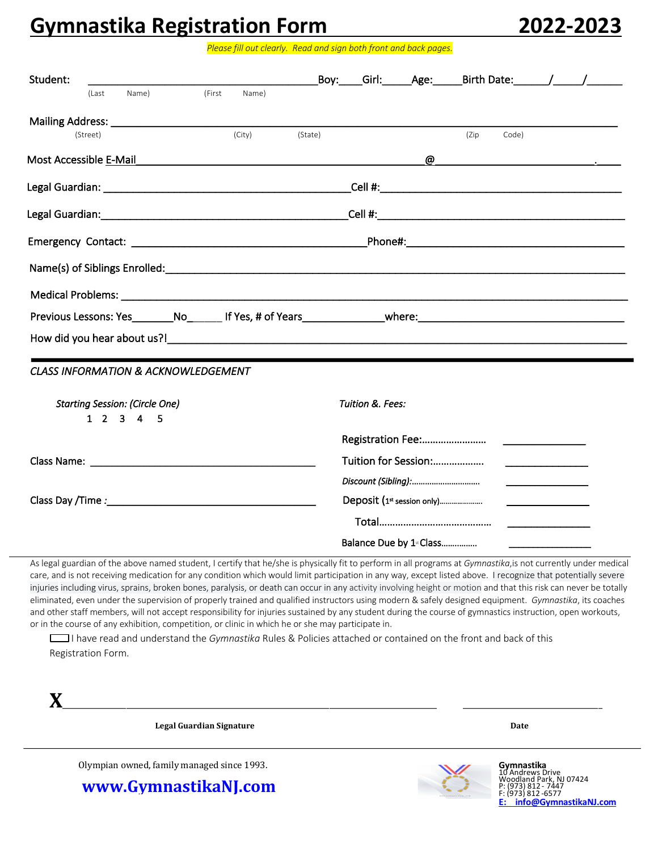## **Gymnastika Registration Form 2022-2023**

*Please fill out clearly. Read and sign both front and back pages.*

| Student:                                                                                                                                                                                                                                                                                                                                                                                                                                                 |        |        |         |                  |                            | Boy: Girl: Age: Birth Date: / / |       |                                                                                                                                                                                                                                      |  |
|----------------------------------------------------------------------------------------------------------------------------------------------------------------------------------------------------------------------------------------------------------------------------------------------------------------------------------------------------------------------------------------------------------------------------------------------------------|--------|--------|---------|------------------|----------------------------|---------------------------------|-------|--------------------------------------------------------------------------------------------------------------------------------------------------------------------------------------------------------------------------------------|--|
| Name)<br>(Last                                                                                                                                                                                                                                                                                                                                                                                                                                           | (First | Name)  |         |                  |                            |                                 |       |                                                                                                                                                                                                                                      |  |
|                                                                                                                                                                                                                                                                                                                                                                                                                                                          |        |        |         |                  |                            |                                 |       |                                                                                                                                                                                                                                      |  |
| (Street)                                                                                                                                                                                                                                                                                                                                                                                                                                                 |        | (City) | (State) |                  |                            | (Zip)                           | Code) |                                                                                                                                                                                                                                      |  |
| Most Accessible E-Mail example and the Mail example of the Mail example and the Mail example and the Mail example and the Mail example and the Mail example and the Mail example and the Mail example and the Mail example and                                                                                                                                                                                                                           |        |        |         |                  |                            |                                 |       |                                                                                                                                                                                                                                      |  |
|                                                                                                                                                                                                                                                                                                                                                                                                                                                          |        |        |         |                  |                            |                                 |       |                                                                                                                                                                                                                                      |  |
|                                                                                                                                                                                                                                                                                                                                                                                                                                                          |        |        |         |                  |                            |                                 |       |                                                                                                                                                                                                                                      |  |
|                                                                                                                                                                                                                                                                                                                                                                                                                                                          |        |        |         |                  |                            |                                 |       |                                                                                                                                                                                                                                      |  |
| Name(s) of Siblings Enrolled: example and a series of the series of the series of the series of the series of the series of the series of the series of the series of the series of the series of the series of the series of                                                                                                                                                                                                                            |        |        |         |                  |                            |                                 |       |                                                                                                                                                                                                                                      |  |
|                                                                                                                                                                                                                                                                                                                                                                                                                                                          |        |        |         |                  |                            |                                 |       |                                                                                                                                                                                                                                      |  |
|                                                                                                                                                                                                                                                                                                                                                                                                                                                          |        |        |         |                  |                            |                                 |       |                                                                                                                                                                                                                                      |  |
|                                                                                                                                                                                                                                                                                                                                                                                                                                                          |        |        |         |                  |                            |                                 |       |                                                                                                                                                                                                                                      |  |
|                                                                                                                                                                                                                                                                                                                                                                                                                                                          |        |        |         |                  |                            |                                 |       |                                                                                                                                                                                                                                      |  |
|                                                                                                                                                                                                                                                                                                                                                                                                                                                          |        |        |         |                  |                            |                                 |       |                                                                                                                                                                                                                                      |  |
|                                                                                                                                                                                                                                                                                                                                                                                                                                                          |        |        |         |                  |                            |                                 |       |                                                                                                                                                                                                                                      |  |
|                                                                                                                                                                                                                                                                                                                                                                                                                                                          |        |        |         |                  |                            |                                 |       |                                                                                                                                                                                                                                      |  |
| <b>Starting Session: (Circle One)</b>                                                                                                                                                                                                                                                                                                                                                                                                                    |        |        |         | Tuition &. Fees: |                            |                                 |       |                                                                                                                                                                                                                                      |  |
| $1 \t2 \t3 \t4 \t5$                                                                                                                                                                                                                                                                                                                                                                                                                                      |        |        |         |                  |                            |                                 |       |                                                                                                                                                                                                                                      |  |
|                                                                                                                                                                                                                                                                                                                                                                                                                                                          |        |        |         |                  |                            |                                 |       |                                                                                                                                                                                                                                      |  |
|                                                                                                                                                                                                                                                                                                                                                                                                                                                          |        |        |         |                  | Tuition for Session:       |                                 |       | the contract of the contract of the contract of                                                                                                                                                                                      |  |
| <b>CLASS INFORMATION &amp; ACKNOWLEDGEMENT</b>                                                                                                                                                                                                                                                                                                                                                                                                           |        |        |         |                  |                            |                                 |       | <u>and the company of the company of the company of the company of the company of the company of the company of the company of the company of the company of the company of the company of the company of the company of the com</u> |  |
|                                                                                                                                                                                                                                                                                                                                                                                                                                                          |        |        |         |                  | Deposit (1st session only) |                                 |       | <u> 1980 - Johann Barbara, martin a</u>                                                                                                                                                                                              |  |
| How did you hear about us?! Notice that the same state of the state of the state of the state of the state of the state of the state of the state of the state of the state of the state of the state of the state of the stat<br>Class Name: North and Second Class Name: North and Second Class Name: North and Second Class Name: N<br>Class Day /Time : 1999 and 2008 and 2009 and 2009 and 2009 and 2009 and 2009 and 2009 and 2009 and 2009 and 20 |        |        |         |                  |                            |                                 |       |                                                                                                                                                                                                                                      |  |

As legal guardian of the above named student, I certify that he/she is physically fit to perform in all programs at *Gymnastika*,is not currently under medical care, and is not receiving medication for any condition which would limit participation in any way, except listed above. I recognize that potentially severe injuries including virus, sprains, broken bones, paralysis, or death can occur in any activity involving height or motion and that this risk can never be totally eliminated, even under the supervision of properly trained and qualified instructors using modern & safely designed equipment. *Gymnastika*, its coaches and other staff members, will not accept responsibility for injuries sustained by any student during the course of gymnastics instruction, open workouts, or in the course of any exhibition, competition, or clinic in which he or she may participate in.

I have read and understand the *Gymnastika* Rules & Policies attached or contained on the front and back of this Registration Form.

**X**\_\_\_\_\_\_\_\_\_\_\_\_\_\_\_\_\_\_\_\_\_\_\_\_\_\_\_\_\_\_\_\_\_\_\_\_\_\_\_\_\_\_\_\_\_\_\_\_\_\_\_\_\_\_\_\_\_\_\_\_\_\_\_\_\_\_\_\_\_\_\_\_\_\_\_\_\_\_\_\_\_\_\_\_\_\_\_\_\_\_\_\_\_\_ \_\_\_\_\_\_\_\_\_\_\_\_\_\_\_\_\_\_\_\_\_\_\_\_\_\_\_\_\_\_\_\_\_\_\_

**Legal Guardian Signature Date**

Olympian owned, family managed since 1993.

**www.GymnastikaNJ.com**



**Gymnastika**<br>10 Andrews Drive<br>Woodland Park, NJ 07424<br>P: (973) 812 - 7447 F: (973) 812 -6577 **E: info@GymnastikaNJ.com**